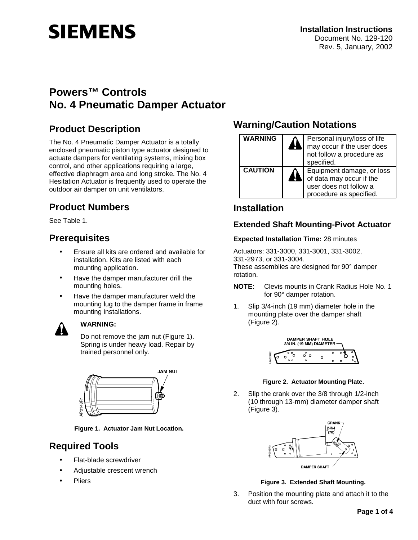# **SIEMENS**

# **Powers™ Controls No. 4 Pneumatic Damper Actuator**

# **Product Description**

The No. 4 Pneumatic Damper Actuator is a totally enclosed pneumatic piston type actuator designed to actuate dampers for ventilating systems, mixing box control, and other applications requiring a large, effective diaphragm area and long stroke. The No. 4 Hesitation Actuator is frequently used to operate the outdoor air damper on unit ventilators.

# **Product Numbers**

See Table 1.

## **Prerequisites**

- Ensure all kits are ordered and available for installation. Kits are listed with each mounting application.
- Have the damper manufacturer drill the mounting holes.
- Have the damper manufacturer weld the mounting lug to the damper frame in frame mounting installations.



## **WARNING:**

Do not remove the jam nut (Figure 1). Spring is under heavy load. Repair by trained personnel only.



**Figure 1. Actuator Jam Nut Location.** 

# **Required Tools**

- Flat-blade screwdriver
- Adjustable crescent wrench
- **Pliers**

# **Warning/Caution Notations**

| WARNING        | Personal injury/loss of life<br>may occur if the user does<br>not follow a procedure as<br>specified.      |  |  |
|----------------|------------------------------------------------------------------------------------------------------------|--|--|
| <b>CAUTION</b> | Equipment damage, or loss<br>of data may occur if the<br>user does not follow a<br>procedure as specified. |  |  |

# **Installation**

## **Extended Shaft Mounting-Pivot Actuator**

## **Expected Installation Time:** 28 minutes

Actuators: 331-3000, 331-3001, 331-3002, 331-2973, or 331-3004. These assemblies are designed for 90° damper rotation.

- **NOTE**: Clevis mounts in Crank Radius Hole No. 1 for 90° damper rotation.
- 1. Slip 3/4-inch (19 mm) diameter hole in the mounting plate over the damper shaft (Figure 2).



## **Figure 2. Actuator Mounting Plate.**

2. Slip the crank over the 3/8 through 1/2-inch (10 through 13-mm) diameter damper shaft (Figure 3).



## **Figure 3. Extended Shaft Mounting.**

3. Position the mounting plate and attach it to the duct with four screws.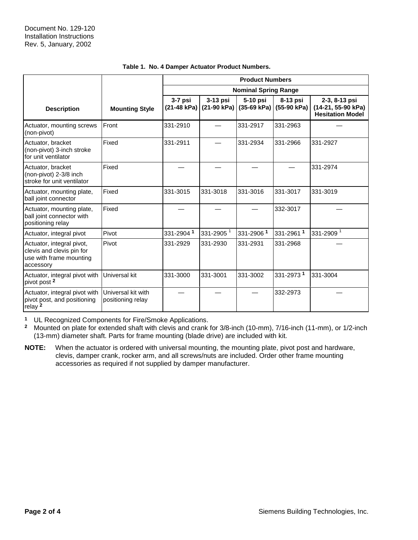|                                                                                                |                                         | <b>Product Numbers</b>      |                           |                           |                         |                                                                |
|------------------------------------------------------------------------------------------------|-----------------------------------------|-----------------------------|---------------------------|---------------------------|-------------------------|----------------------------------------------------------------|
|                                                                                                |                                         | <b>Nominal Spring Range</b> |                           |                           |                         |                                                                |
| <b>Description</b>                                                                             | <b>Mounting Style</b>                   | $3-7$ psi<br>(21-48 kPa)    | $3-13$ psi<br>(21-90 kPa) | 5-10 psi<br>$(35-69 kPa)$ | 8-13 psi<br>(55-90 kPa) | 2-3, 8-13 psi<br>(14-21, 55-90 kPa)<br><b>Hesitation Model</b> |
| Actuator, mounting screws<br>(non-pivot)                                                       | Front                                   | 331-2910                    |                           | 331-2917                  | 331-2963                |                                                                |
| Actuator, bracket<br>(non-pivot) 3-inch stroke<br>for unit ventilator                          | Fixed                                   | 331-2911                    |                           | 331-2934                  | 331-2966                | 331-2927                                                       |
| Actuator, bracket<br>(non-pivot) 2-3/8 inch<br>stroke for unit ventilator                      | Fixed                                   |                             |                           |                           |                         | 331-2974                                                       |
| Actuator, mounting plate,<br>ball joint connector                                              | Fixed                                   | 331-3015                    | 331-3018                  | 331-3016                  | 331-3017                | 331-3019                                                       |
| Actuator, mounting plate,<br>ball joint connector with<br>positioning relay                    | Fixed                                   |                             |                           |                           | 332-3017                |                                                                |
| Actuator, integral pivot                                                                       | Pivot                                   | 331-29041                   | 331-2905 <sup>1</sup>     | 331-29061                 | 331-29611               | 331-2909 <sup>1</sup>                                          |
| Actuator, integral pivot,<br>clevis and clevis pin for<br>use with frame mounting<br>accessory | Pivot                                   | 331-2929                    | 331-2930                  | 331-2931                  | 331-2968                |                                                                |
| Actuator, integral pivot with<br>pivot post <sup>2</sup>                                       | Universal kit                           | 331-3000                    | 331-3001                  | 331-3002                  | 331-2973 <sup>1</sup>   | 331-3004                                                       |
| Actuator, integral pivot with<br>pivot post, and positioning<br>relay $2$                      | Universal kit with<br>positioning relay |                             |                           |                           | 332-2973                |                                                                |

### **Table 1. No. 4 Damper Actuator Product Numbers.**

**<sup>1</sup>** UL Recognized Components for Fire/Smoke Applications.

**<sup>2</sup>** Mounted on plate for extended shaft with clevis and crank for 3/8-inch (10-mm), 7/16-inch (11-mm), or 1/2-inch (13-mm) diameter shaft. Parts for frame mounting (blade drive) are included with kit.

**NOTE:** When the actuator is ordered with universal mounting, the mounting plate, pivot post and hardware, clevis, damper crank, rocker arm, and all screws/nuts are included. Order other frame mounting accessories as required if not supplied by damper manufacturer.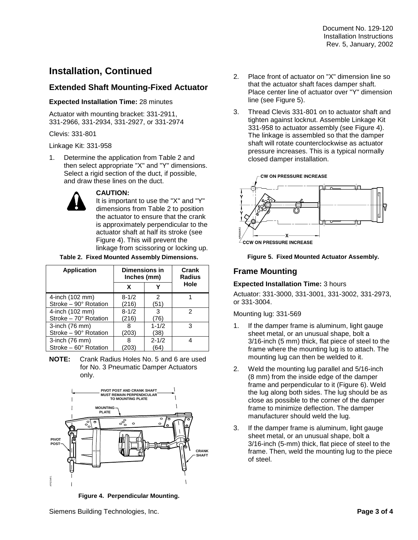# **Installation, Continued**

## **Extended Shaft Mounting-Fixed Actuator**

## **Expected Installation Time:** 28 minutes

Actuator with mounting bracket: 331-2911, 331-2966, 331-2934, 331-2927, or 331-2974

Clevis: 331-801

Linkage Kit: 331-958

1. Determine the application from Table 2 and then select appropriate "X" and "Y" dimensions. Select a rigid section of the duct, if possible, and draw these lines on the duct.



## **CAUTION:**

It is important to use the "X" and "Y" dimensions from Table 2 to position the actuator to ensure that the crank is approximately perpendicular to the actuator shaft at half its stroke (see Figure 4). This will prevent the linkage from scissoring or locking up.

### **Table 2. Fixed Mounted Assembly Dimensions.**

| <b>Application</b>          | <b>Dimensions in</b><br>Inches (mm) | Crank<br>Radius |      |
|-----------------------------|-------------------------------------|-----------------|------|
|                             | x                                   |                 | Hole |
| 4-inch (102 mm)             | $8 - 1/2$                           | 2               |      |
| Stroke - 90° Rotation       | (216)                               | (51)            |      |
| 4-inch (102 mm)             | $8 - 1/2$                           | 3               | 2    |
| Stroke - 70° Rotation       | (216)                               | 76)             |      |
| 3-inch (76 mm)              | 8                                   | $1 - 1/2$       | 3    |
| Stroke - 90° Rotation       | (203)                               | (38)            |      |
| 3-inch (76 mm)              | 8                                   | $2 - 1/2$       | 4    |
| Stroke $-60^\circ$ Rotation | 203                                 | (64)            |      |

**NOTE:** Crank Radius Holes No. 5 and 6 are used for No. 3 Pneumatic Damper Actuators only.



**Figure 4. Perpendicular Mounting.** 

- 2. Place front of actuator on "X" dimension line so that the actuator shaft faces damper shaft. Place center line of actuator over "Y" dimension line (see Figure 5).
- 3. Thread Clevis 331-801 on to actuator shaft and tighten against locknut. Assemble Linkage Kit 331-958 to actuator assembly (see Figure 4). The linkage is assembled so that the damper shaft will rotate counterclockwise as actuator pressure increases. This is a typical normally closed damper installation.



**Figure 5. Fixed Mounted Actuator Assembly.** 

## **Frame Mounting**

## **Expected Installation Time:** 3 hours

Actuator: 331-3000, 331-3001, 331-3002, 331-2973, or 331-3004.

## Mounting lug: 331-569

- 1. If the damper frame is aluminum, light gauge sheet metal, or an unusual shape, bolt a 3/16-inch (5 mm) thick, flat piece of steel to the frame where the mounting lug is to attach. The mounting lug can then be welded to it.
- 2. Weld the mounting lug parallel and 5/16-inch (8 mm) from the inside edge of the damper frame and perpendicular to it (Figure 6). Weld the lug along both sides. The lug should be as close as possible to the corner of the damper frame to minimize deflection. The damper manufacturer should weld the lug.
- 3. If the damper frame is aluminum, light gauge sheet metal, or an unusual shape, bolt a 3/16-inch (5-mm) thick, flat piece of steel to the frame. Then, weld the mounting lug to the piece of steel.